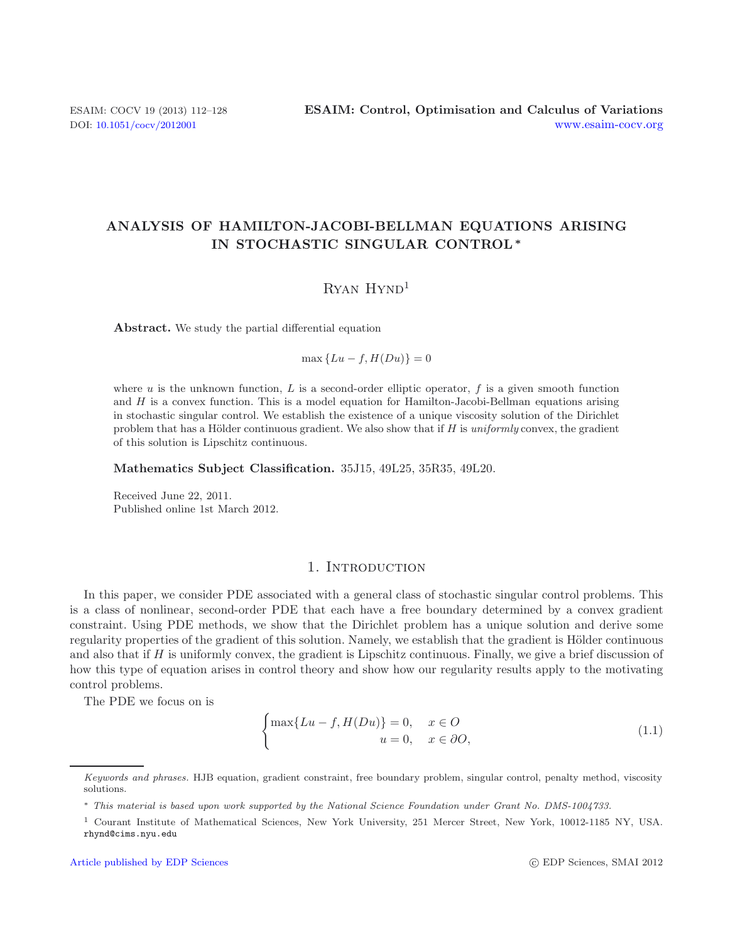# **ANALYSIS OF HAMILTON-JACOBI-BELLMAN EQUATIONS ARISING IN STOCHASTIC SINGULAR CONTROL***∗*

# Ryan Hynd<sup>1</sup>

**Abstract.** We study the partial differential equation

 $\max \{Lu - f, H(Du)\} = 0$ 

where *u* is the unknown function, *L* is a second-order elliptic operator, *f* is a given smooth function and *H* is a convex function. This is a model equation for Hamilton-Jacobi-Bellman equations arising in stochastic singular control. We establish the existence of a unique viscosity solution of the Dirichlet problem that has a Hölder continuous gradient. We also show that if *H* is *uniformly* convex, the gradient of this solution is Lipschitz continuous.

**Mathematics Subject Classification.** 35J15, 49L25, 35R35, 49L20.

<span id="page-0-0"></span>Received June 22, 2011. Published online 1st March 2012.

## 1. INTRODUCTION

In this paper, we consider PDE associated with a general class of stochastic singular control problems. This is a class of nonlinear, second-order PDE that each have a free boundary determined by a convex gradient constraint. Using PDE methods, we show that the Dirichlet problem has a unique solution and derive some regularity properties of the gradient of this solution. Namely, we establish that the gradient is Hölder continuous and also that if  $H$  is uniformly convex, the gradient is Lipschitz continuous. Finally, we give a brief discussion of how this type of equation arises in control theory and show how our regularity results apply to the motivating control problems.

The PDE we focus on is

$$
\begin{cases} \max\{Lu - f, H(Du)\} = 0, & x \in O \\ u = 0, & x \in \partial O, \end{cases}
$$
\n(1.1)

Keywords and phrases. HJB equation, gradient constraint, free boundary problem, singular control, penalty method, viscosity solutions.

<sup>∗</sup> This material is based upon work supported by the National Science Foundation under Grant No. DMS-1004733.

<sup>1</sup> Courant Institute of Mathematical Sciences, New York University, 251 Mercer Street, New York, 10012-1185 NY, USA. rhynd@cims.nyu.edu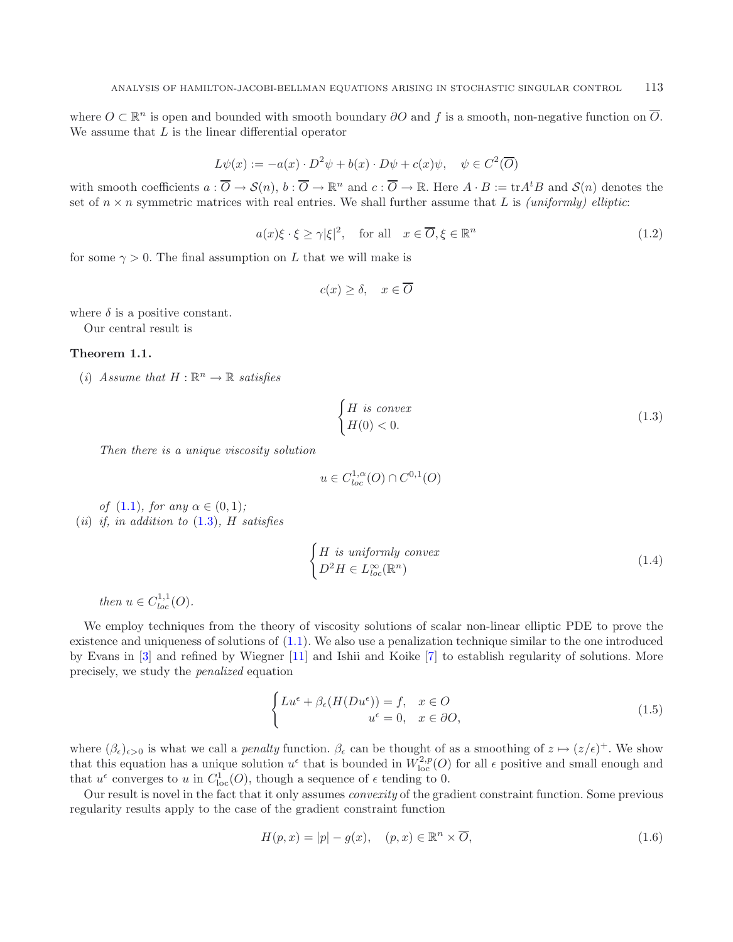<span id="page-1-5"></span><span id="page-1-1"></span>where  $O \subset \mathbb{R}^n$  is open and bounded with smooth boundary  $\partial O$  and f is a smooth, non-negative function on  $\overline{O}$ . We assume that  $L$  is the linear differential operator

$$
L\psi(x) := -a(x) \cdot D^2\psi + b(x) \cdot D\psi + c(x)\psi, \quad \psi \in C^2(\overline{O})
$$

with smooth coefficients  $a: \overline{O} \to \mathcal{S}(n)$ ,  $b: \overline{O} \to \mathbb{R}^n$  and  $c: \overline{O} \to \mathbb{R}$ . Here  $A \cdot B := \text{tr}A^tB$  and  $\mathcal{S}(n)$  denotes the set of  $n \times n$  symmetric matrices with real entries. We shall further assume that L is *(uniformly) elliptic*:

<span id="page-1-2"></span>
$$
a(x)\xi \cdot \xi \ge \gamma |\xi|^2, \quad \text{for all} \quad x \in \overline{O}, \xi \in \mathbb{R}^n \tag{1.2}
$$

for some  $\gamma > 0$ . The final assumption on L that we will make is

$$
c(x) \ge \delta, \quad x \in \overline{O}
$$

where  $\delta$  is a positive constant.

Our central result is

### <span id="page-1-0"></span>**Theorem 1.1.**

(*i*) *Assume that*  $H : \mathbb{R}^n \to \mathbb{R}$  *satisfies* 

$$
\begin{cases}\nH \text{ is convex} \\
H(0) < 0.\n\end{cases} \tag{1.3}
$$

*Then there is a unique viscosity solution*

<span id="page-1-4"></span>
$$
u \in C^{1,\alpha}_{loc}(O) \cap C^{0,1}(O)
$$

*of*  $(1.1)$ *, for any*  $\alpha \in (0, 1)$ *;* (*ii*) *if, in addition to* [\(1.3\)](#page-1-0)*,* H *satisfies*

<span id="page-1-3"></span>
$$
\begin{cases}\nH \text{ is uniformly convex} \\
D^2 H \in L_{loc}^{\infty}(\mathbb{R}^n)\n\end{cases} \tag{1.4}
$$

*then*  $u \in C^{1,1}_{loc}(O)$ .

We employ techniques from the theory of viscosity solutions of scalar non-linear elliptic PDE to prove the existence and uniqueness of solutions of [\(1.1\)](#page-0-0). We also use a penalization technique similar to the one introduced by Evans in [\[3\]](#page-15-0) and refined by Wiegner [\[11\]](#page-16-0) and Ishii and Koike [\[7\]](#page-16-1) to establish regularity of solutions. More precisely, we study the *penalized* equation

$$
\begin{cases} Lu^{\epsilon} + \beta_{\epsilon}(H(Du^{\epsilon})) = f, & x \in O \\ u^{\epsilon} = 0, & x \in \partial O, \end{cases}
$$
 (1.5)

where  $(\beta_{\epsilon})_{\epsilon>0}$  is what we call a *penalty* function.  $\beta_{\epsilon}$  can be thought of as a smoothing of  $z \mapsto (z/\epsilon)^{+}$ . We show that this equation has a unique solution  $u^{\epsilon}$  that is bounded in  $W^{2,p}_{loc}(O)$  for all  $\epsilon$  positive and small enough and that  $u^{\epsilon}$  converges to u in  $C_{loc}^{1}(O)$ , though a sequence of  $\epsilon$  tending to 0.

Our result is novel in the fact that it only assumes *convexity* of the gradient constraint function. Some previous regularity results apply to the case of the gradient constraint function

$$
H(p,x) = |p| - g(x), \quad (p,x) \in \mathbb{R}^n \times \overline{O}, \tag{1.6}
$$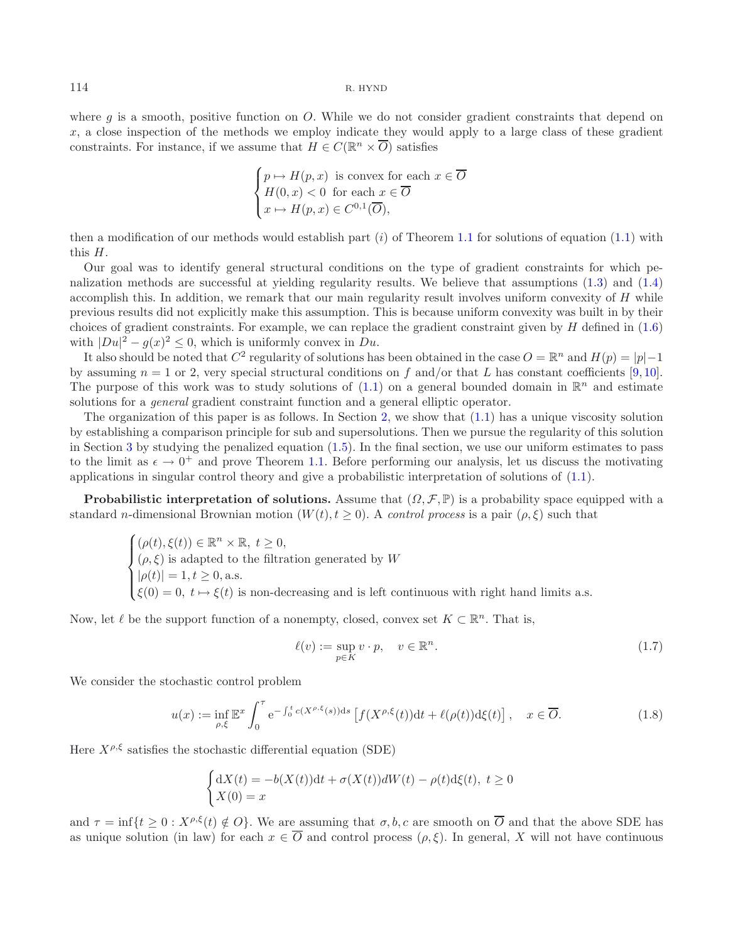where  $g$  is a smooth, positive function on  $O$ . While we do not consider gradient constraints that depend on x, a close inspection of the methods we employ indicate they would apply to a large class of these gradient constraints. For instance, if we assume that  $H \in C(\mathbb{R}^n \times \overline{O})$  satisfies

$$
\begin{cases} p \mapsto H(p, x) \text{ is convex for each } x \in \overline{O} \\ H(0, x) < 0 \text{ for each } x \in \overline{O} \\ x \mapsto H(p, x) \in C^{0,1}(\overline{O}), \end{cases}
$$

then a modification of our methods would establish part  $(i)$  of Theorem [1.1](#page-1-1) for solutions of equation [\(1.1\)](#page-0-0) with this H.

Our goal was to identify general structural conditions on the type of gradient constraints for which penalization methods are successful at yielding regularity results. We believe that assumptions [\(1.3\)](#page-1-0) and [\(1.4\)](#page-1-2) accomplish this. In addition, we remark that our main regularity result involves uniform convexity of H while previous results did not explicitly make this assumption. This is because uniform convexity was built in by their choices of gradient constraints. For example, we can replace the gradient constraint given by  $H$  defined in  $(1.6)$ with  $|Du|^2 - g(x)^2 \leq 0$ , which is uniformly convex in  $Du$ .

It also should be noted that  $C^2$  regularity of solutions has been obtained in the case  $O = \mathbb{R}^n$  and  $H(p) = |p|-1$ by assuming  $n = 1$  or 2, very special structural conditions on f and/or that L has constant coefficients [\[9](#page-16-2),[10](#page-16-3)]. The purpose of this work was to study solutions of  $(1.1)$  on a general bounded domain in  $\mathbb{R}^n$  and estimate solutions for a *general* gradient constraint function and a general elliptic operator.

The organization of this paper is as follows. In Section [2,](#page-4-0) we show that [\(1.1\)](#page-0-0) has a unique viscosity solution by establishing a comparison principle for sub and supersolutions. Then we pursue the regularity of this solution in Section [3](#page-7-0) by studying the penalized equation  $(1.5)$ . In the final section, we use our uniform estimates to pass to the limit as  $\epsilon \to 0^+$  and prove Theorem [1.1.](#page-1-1) Before performing our analysis, let us discuss the motivating applications in singular control theory and give a probabilistic interpretation of solutions of [\(1.1\)](#page-0-0).

**Probabilistic interpretation of solutions.** Assume that  $(\Omega, \mathcal{F}, \mathbb{P})$  is a probability space equipped with a standard n-dimensional Brownian motion  $(W(t), t \ge 0)$ . A *control process* is a pair  $(\rho, \xi)$  such that

<span id="page-2-0"></span>
$$
\begin{cases}\n(\rho(t), \xi(t)) \in \mathbb{R}^n \times \mathbb{R}, t \ge 0, \\
(\rho, \xi) \text{ is adapted to the filtration generated by } W \\
|\rho(t)| = 1, t \ge 0, \text{ a.s.} \\
\xi(0) = 0, t \mapsto \xi(t) \text{ is non-decreasing and is left continuous with right hand limits a.s.}\n\end{cases}
$$

Now, let  $\ell$  be the support function of a nonempty, closed, convex set  $K \subset \mathbb{R}^n$ . That is,

<span id="page-2-2"></span>
$$
\ell(v) := \sup_{p \in K} v \cdot p, \quad v \in \mathbb{R}^n. \tag{1.7}
$$

We consider the stochastic control problem

$$
u(x) := \inf_{\rho,\xi} \mathbb{E}^x \int_0^\tau e^{-\int_0^t c(X^{\rho,\xi}(s))ds} \left[ f(X^{\rho,\xi}(t))dt + \ell(\rho(t))d\xi(t) \right], \quad x \in \overline{O}.
$$
 (1.8)

<span id="page-2-1"></span>Here  $X^{\rho,\xi}$  satisfies the stochastic differential equation (SDE)

$$
\begin{cases} dX(t) = -b(X(t))dt + \sigma(X(t))dW(t) - \rho(t)d\xi(t), \ t \ge 0\\ X(0) = x \end{cases}
$$

and  $\tau = \inf\{t > 0 : X^{\rho,\xi}(t) \notin O\}$ . We are assuming that  $\sigma, b, c$  are smooth on  $\overline{O}$  and that the above SDE has as unique solution (in law) for each  $x \in \overline{O}$  and control process  $(\rho, \xi)$ . In general, X will not have continuous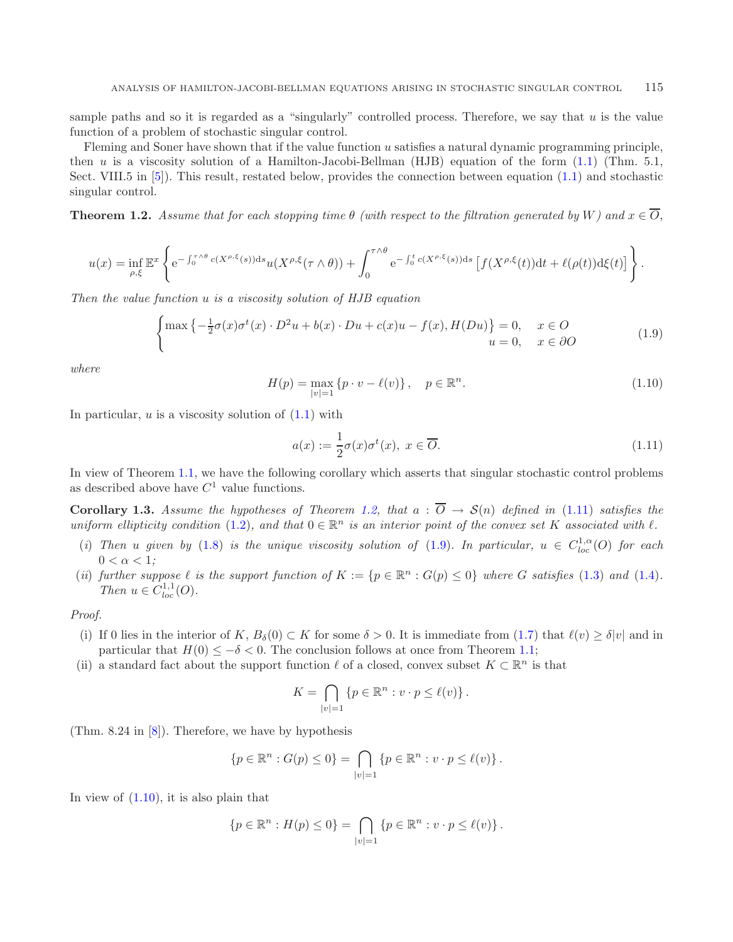sample paths and so it is regarded as a "singularly" controlled process. Therefore, we say that  $u$  is the value function of a problem of stochastic singular control.

<span id="page-3-2"></span>Fleming and Soner have shown that if the value function u satisfies a natural dynamic programming principle, then u is a viscosity solution of a Hamilton-Jacobi-Bellman (HJB) equation of the form  $(1.1)$  (Thm. 5.1, Sect. VIII.5 in [\[5\]](#page-16-4)). This result, restated below, provides the connection between equation [\(1.1\)](#page-0-0) and stochastic singular control.

<span id="page-3-0"></span>**Theorem 1.2.** *Assume that for each stopping time*  $\theta$  *(with respect to the filtration generated by* W*)* and  $x \in \overline{O}$ ,

$$
u(x) = \inf_{\rho,\xi} \mathbb{E}^x \left\{ e^{-\int_0^{\tau \wedge \theta} c(X^{\rho,\xi}(s))ds} u(X^{\rho,\xi}(\tau \wedge \theta)) + \int_0^{\tau \wedge \theta} e^{-\int_0^t c(X^{\rho,\xi}(s))ds} \left[ f(X^{\rho,\xi}(t))dt + \ell(\rho(t))d\xi(t) \right] \right\}.
$$

*Then the value function* u *is a viscosity solution of HJB equation*

<span id="page-3-1"></span>
$$
\begin{cases}\n\max\left\{-\frac{1}{2}\sigma(x)\sigma^t(x)\cdot D^2u + b(x)\cdot Du + c(x)u - f(x), H(Du)\right\} = 0, & x \in O \\
u = 0, & x \in \partial O\n\end{cases}
$$
\n(1.9)

*where*

$$
H(p) = \max_{|v|=1} \{ p \cdot v - \ell(v) \}, \quad p \in \mathbb{R}^n.
$$
 (1.10)

In particular,  $u$  is a viscosity solution of  $(1.1)$  with

$$
a(x) := \frac{1}{2}\sigma(x)\sigma^t(x), \ x \in \overline{O}.
$$
 (1.11)

In view of Theorem [1.1,](#page-1-1) we have the following corollary which asserts that singular stochastic control problems as described above have  $C<sup>1</sup>$  value functions.

**Corollary 1.3.** *Assume the hypotheses of Theorem [1.2,](#page-3-0) that*  $a : \overline{O} \rightarrow S(n)$  *defined in* [\(1.11\)](#page-3-1) *satisfies the uniform ellipticity condition* [\(1.2\)](#page-1-5)*, and that*  $0 \in \mathbb{R}^n$  *is an interior point of the convex set* K *associated with*  $\ell$ *.* 

- (*i*) *Then* u given by [\(1.8\)](#page-2-0) is the unique viscosity solution of [\(1.9\)](#page-2-1). In particular,  $u \in C^{1,\alpha}_{loc}(O)$  for each  $0 < \alpha < 1$ ;
- (*ii*) *further suppose*  $\ell$  *is the support function of*  $K := \{p \in \mathbb{R}^n : G(p) \leq 0\}$  *where*  $G$  *satisfies* [\(1.3\)](#page-1-0) *and* [\(1.4\)](#page-1-2)*. Then*  $u \in C^{1,1}_{loc}(O)$ .

*Proof.*

- (i) If 0 lies in the interior of K,  $B_\delta(0) \subset K$  for some  $\delta > 0$ . It is immediate from  $(1.7)$  that  $\ell(v) \geq \delta |v|$  and in particular that  $H(0) \leq -\delta < 0$ . The conclusion follows at once from Theorem [1.1;](#page-1-1)
- (ii) a standard fact about the support function  $\ell$  of a closed, convex subset  $K \subset \mathbb{R}^n$  is that

$$
K = \bigcap_{|v|=1} \{ p \in \mathbb{R}^n : v \cdot p \le \ell(v) \} .
$$

(Thm. 8.24 in [\[8](#page-16-5)]). Therefore, we have by hypothesis

$$
\{p \in \mathbb{R}^n : G(p) \le 0\} = \bigcap_{|v|=1} \{p \in \mathbb{R}^n : v \cdot p \le \ell(v)\}.
$$

In view of  $(1.10)$ , it is also plain that

$$
\{p \in \mathbb{R}^n : H(p) \le 0\} = \bigcap_{|v|=1} \{p \in \mathbb{R}^n : v \cdot p \le \ell(v)\}.
$$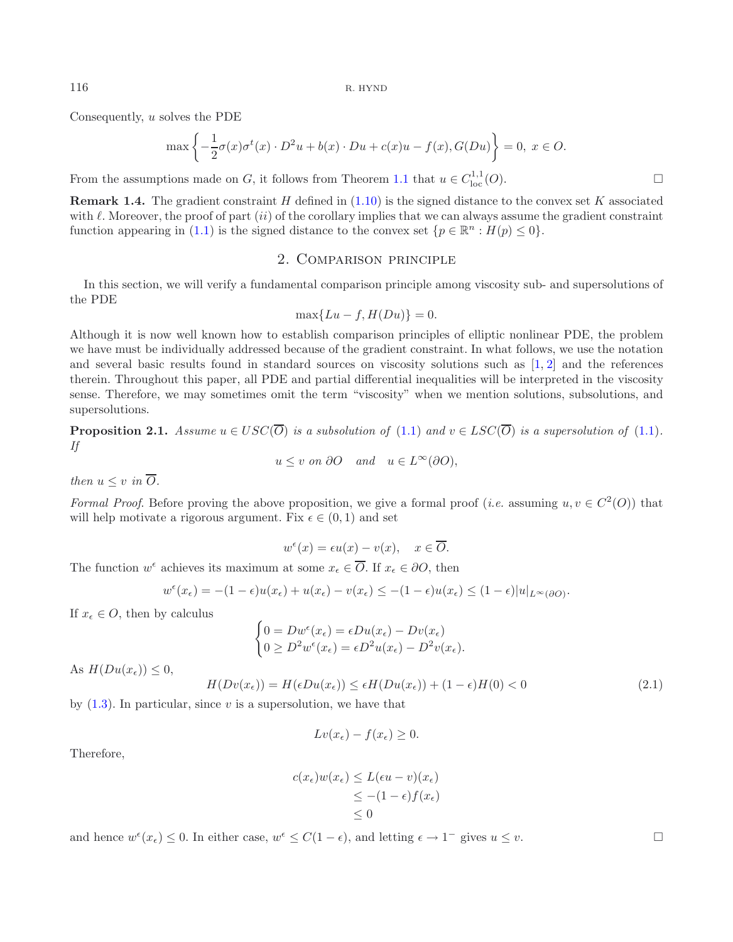Consequently, u solves the PDE

$$
\max \left\{ -\frac{1}{2}\sigma(x)\sigma^{t}(x) \cdot D^{2}u + b(x) \cdot Du + c(x)u - f(x), G(Du) \right\} = 0, \ x \in O.
$$

From the assumptions made on G, it follows from Theorem [1.1](#page-1-1) that  $u \in C^{1,1}_{loc}(O)$ .

**Remark 1.4.** The gradient constraint H defined in  $(1.10)$  is the signed distance to the convex set K associated with  $\ell$ . Moreover, the proof of part  $(ii)$  of the corollary implies that we can always assume the gradient constraint function appearing in [\(1.1\)](#page-0-0) is the signed distance to the convex set  $\{p \in \mathbb{R}^n : H(p) \leq 0\}$ .

## 2. Comparison principle

<span id="page-4-0"></span>In this section, we will verify a fundamental comparison principle among viscosity sub- and supersolutions of the PDE

$$
\max\{Lu - f, H(Du)\} = 0.
$$

Although it is now well known how to establish comparison principles of elliptic nonlinear PDE, the problem we have must be individually addressed because of the gradient constraint. In what follows, we use the notation and several basic results found in standard sources on viscosity solutions such as [\[1](#page-15-1), [2\]](#page-15-2) and the references therein. Throughout this paper, all PDE and partial differential inequalities will be interpreted in the viscosity sense. Therefore, we may sometimes omit the term "viscosity" when we mention solutions, subsolutions, and supersolutions.

<span id="page-4-2"></span>**Proposition 2.1.** *Assume*  $u \in USC(\overline{O})$  *is a subsolution of* [\(1.1\)](#page-0-0) *and*  $v \in LSC(\overline{O})$  *is a supersolution of* (1.1)*. If*  $u \leq v$  *on* ∂O *and*  $u \in L^{\infty}(\partial O)$ ,

*then*  $u \leq v$  *in*  $\overline{O}$ *.* 

*Formal Proof.* Before proving the above proposition, we give a formal proof (*i.e.* assuming  $u, v \in C^2(O)$ ) that will help motivate a rigorous argument. Fix  $\epsilon \in (0, 1)$  and set

$$
w^{\epsilon}(x) = \epsilon u(x) - v(x), \quad x \in \overline{O}.
$$

The function  $w^{\epsilon}$  achieves its maximum at some  $x_{\epsilon} \in \overline{O}$ . If  $x_{\epsilon} \in \partial O$ , then

$$
w^{\epsilon}(x_{\epsilon}) = -(1-\epsilon)u(x_{\epsilon}) + u(x_{\epsilon}) - v(x_{\epsilon}) \le -(1-\epsilon)u(x_{\epsilon}) \le (1-\epsilon)|u|_{L^{\infty}(\partial O)}.
$$

If  $x_{\epsilon} \in O$ , then by calculus

$$
\begin{cases}\n0 = Dw^{\epsilon}(x_{\epsilon}) = \epsilon Du(x_{\epsilon}) - Dv(x_{\epsilon}) \\
0 \ge D^2 w^{\epsilon}(x_{\epsilon}) = \epsilon D^2 u(x_{\epsilon}) - D^2 v(x_{\epsilon}).\n\end{cases}
$$

As  $H(Du(x_{\epsilon})) \leq 0$ ,

$$
H(Dv(x_{\epsilon})) = H(\epsilon Du(x_{\epsilon})) \leq \epsilon H(Du(x_{\epsilon})) + (1 - \epsilon)H(0) < 0 \tag{2.1}
$$

by  $(1.3)$ . In particular, since v is a supersolution, we have that

$$
Lv(x_{\epsilon}) - f(x_{\epsilon}) \ge 0.
$$

Therefore,

<span id="page-4-1"></span>
$$
c(x_{\epsilon})w(x_{\epsilon}) \le L(\epsilon u - v)(x_{\epsilon})
$$
  
\n
$$
\le -(1 - \epsilon)f(x_{\epsilon})
$$
  
\n
$$
\le 0
$$

and hence  $w^{\epsilon}(x_{\epsilon}) \leq 0$ . In either case,  $w^{\epsilon} \leq C(1 - \epsilon)$ , and letting  $\epsilon \to 1^{-}$  gives  $u \leq v$ .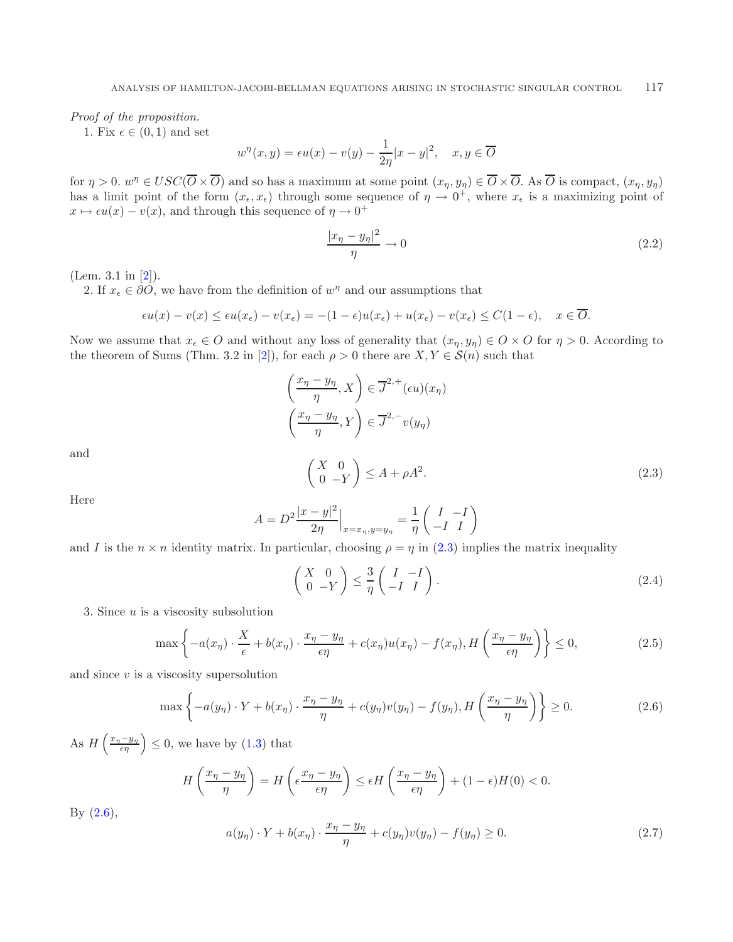*Proof of the proposition.*

1. Fix  $\epsilon \in (0, 1)$  and set

$$
w^{\eta}(x, y) = \epsilon u(x) - v(y) - \frac{1}{2\eta}|x - y|^2, \quad x, y \in \overline{O}
$$

for  $\eta > 0$ .  $w^{\eta} \in USC(\overline{O} \times \overline{O})$  and so has a maximum at some point  $(x_{\eta}, y_{\eta}) \in \overline{O} \times \overline{O}$ . As  $\overline{O}$  is compact,  $(x_{\eta}, y_{\eta})$ has a limit point of the form  $(x_\epsilon, x_\epsilon)$  through some sequence of  $\eta \to 0^+$ , where  $x_\epsilon$  is a maximizing point of  $x \mapsto \epsilon u(x) - v(x)$ , and through this sequence of  $\eta \to 0^+$ 

<span id="page-5-4"></span>
$$
\frac{|x_{\eta} - y_{\eta}|^2}{\eta} \to 0
$$
\n(2.2)

<span id="page-5-0"></span>(Lem. 3.1 in [\[2](#page-15-2)]).

2. If  $x_{\epsilon} \in \partial O$ , we have from the definition of  $w^{\eta}$  and our assumptions that

$$
\epsilon u(x) - v(x) \le \epsilon u(x_{\epsilon}) - v(x_{\epsilon}) = -(1 - \epsilon)u(x_{\epsilon}) + u(x_{\epsilon}) - v(x_{\epsilon}) \le C(1 - \epsilon), \quad x \in \overline{O}.
$$

Now we assume that  $x_{\epsilon} \in O$  and without any loss of generality that  $(x_{\eta}, y_{\eta}) \in O \times O$  for  $\eta > 0$ . According to the theorem of Sums (Thm. 3.2 in [\[2](#page-15-2)]), for each  $\rho > 0$  there are  $X, Y \in \mathcal{S}(n)$  such that

<span id="page-5-2"></span>
$$
\left(\frac{x_{\eta} - y_{\eta}}{\eta}, X\right) \in \overline{J}^{2,+}(\epsilon u)(x_{\eta})
$$
\n
$$
\left(\frac{x_{\eta} - y_{\eta}}{\eta}, Y\right) \in \overline{J}^{2,-}v(y_{\eta})
$$
\n
$$
\left(\begin{array}{cc} X & 0\\ 0 & -Y \end{array}\right) \le A + \rho A^2.
$$
\n(2.3)

Here

and

<span id="page-5-1"></span>
$$
A = D^{2} \frac{|x - y|^{2}}{2\eta} \Big|_{x = x_{\eta}, y = y_{\eta}} = \frac{1}{\eta} \begin{pmatrix} I & -I \\ -I & I \end{pmatrix}
$$

and I is the  $n \times n$  identity matrix. In particular, choosing  $\rho = \eta$  in [\(2.3\)](#page-5-0) implies the matrix inequality

$$
\begin{pmatrix} X & 0 \\ 0 & -Y \end{pmatrix} \le \frac{3}{\eta} \begin{pmatrix} I & -I \\ -I & I \end{pmatrix}.
$$
 (2.4)

<span id="page-5-3"></span>3. Since  $u$  is a viscosity subsolution

$$
\max\left\{-a(x_{\eta})\cdot\frac{X}{\epsilon} + b(x_{\eta})\cdot\frac{x_{\eta} - y_{\eta}}{\epsilon\eta} + c(x_{\eta})u(x_{\eta}) - f(x_{\eta}), H\left(\frac{x_{\eta} - y_{\eta}}{\epsilon\eta}\right)\right\} \le 0,
$$
\n(2.5)

and since  $v$  is a viscosity supersolution

$$
\max\left\{-a(y_{\eta})\cdot Y + b(x_{\eta})\cdot \frac{x_{\eta} - y_{\eta}}{\eta} + c(y_{\eta})v(y_{\eta}) - f(y_{\eta}), H\left(\frac{x_{\eta} - y_{\eta}}{\eta}\right)\right\} \ge 0. \tag{2.6}
$$

As  $H\left(\frac{x_{\eta}-y_{\eta}}{\epsilon\eta}\right)\leq 0$ , we have by [\(1.3\)](#page-1-0) that

$$
H\left(\frac{x_{\eta}-y_{\eta}}{\eta}\right) = H\left(\epsilon \frac{x_{\eta}-y_{\eta}}{\epsilon \eta}\right) \le \epsilon H\left(\frac{x_{\eta}-y_{\eta}}{\epsilon \eta}\right) + (1-\epsilon)H(0) < 0.
$$

By  $(2.6)$ ,

$$
a(y_{\eta}) \cdot Y + b(x_{\eta}) \cdot \frac{x_{\eta} - y_{\eta}}{\eta} + c(y_{\eta})v(y_{\eta}) - f(y_{\eta}) \ge 0.
$$
 (2.7)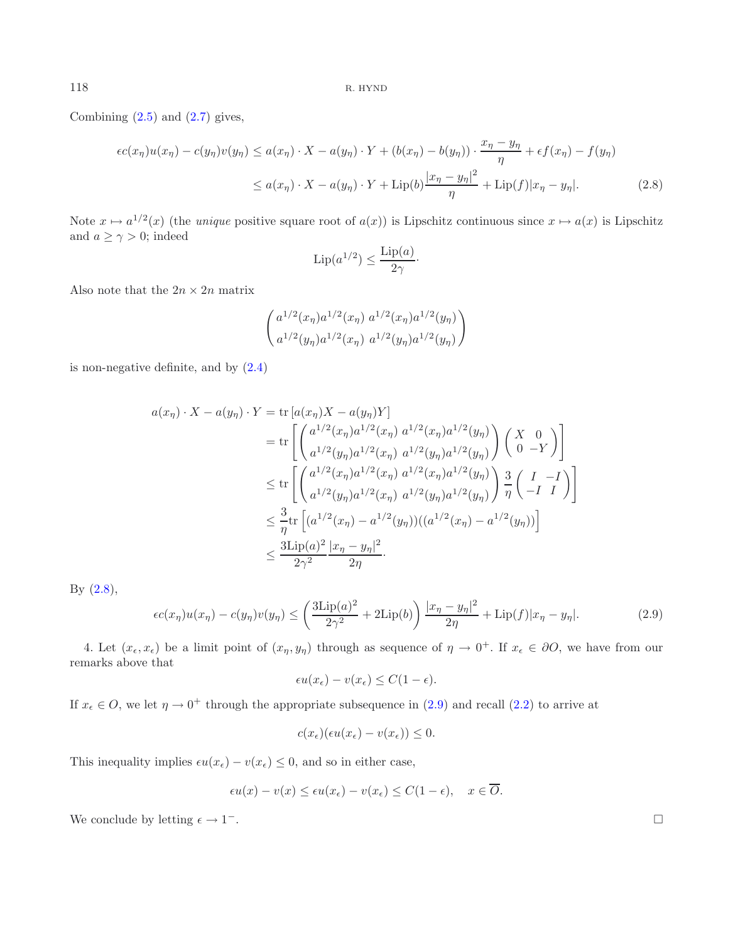<span id="page-6-0"></span>Combining  $(2.5)$  and  $(2.7)$  gives,

<span id="page-6-1"></span>
$$
\epsilon c(x_{\eta})u(x_{\eta}) - c(y_{\eta})v(y_{\eta}) \le a(x_{\eta}) \cdot X - a(y_{\eta}) \cdot Y + (b(x_{\eta}) - b(y_{\eta})) \cdot \frac{x_{\eta} - y_{\eta}}{\eta} + \epsilon f(x_{\eta}) - f(y_{\eta})
$$
  

$$
\le a(x_{\eta}) \cdot X - a(y_{\eta}) \cdot Y + \text{Lip}(b) \frac{|x_{\eta} - y_{\eta}|^2}{\eta} + \text{Lip}(f)|x_{\eta} - y_{\eta}|. \tag{2.8}
$$

Note  $x \mapsto a^{1/2}(x)$  (the *unique* positive square root of  $a(x)$ ) is Lipschitz continuous since  $x \mapsto a(x)$  is Lipschitz and  $a \ge \gamma > 0$ ; indeed

$$
\operatorname{Lip}(a^{1/2}) \le \frac{\operatorname{Lip}(a)}{2\gamma} \cdot
$$

Also note that the  $2n \times 2n$  matrix

$$
\begin{pmatrix} a^{1/2}(x_{\eta})a^{1/2}(x_{\eta}) a^{1/2}(x_{\eta})a^{1/2}(y_{\eta}) \\ a^{1/2}(y_{\eta})a^{1/2}(x_{\eta}) a^{1/2}(y_{\eta})a^{1/2}(y_{\eta}) \end{pmatrix}
$$

is non-negative definite, and by [\(2.4\)](#page-5-4)

$$
a(x_{\eta}) \cdot X - a(y_{\eta}) \cdot Y = \text{tr} [a(x_{\eta})X - a(y_{\eta})Y] \n= \text{tr} \left[ \begin{pmatrix} a^{1/2}(x_{\eta})a^{1/2}(x_{\eta}) a^{1/2}(x_{\eta})a^{1/2}(y_{\eta}) \\ a^{1/2}(y_{\eta})a^{1/2}(x_{\eta}) a^{1/2}(y_{\eta})a^{1/2}(y_{\eta}) \end{pmatrix} \begin{pmatrix} X & 0 \\ 0 & -Y \end{pmatrix} \right] \n\leq \text{tr} \left[ \begin{pmatrix} a^{1/2}(x_{\eta})a^{1/2}(x_{\eta}) a^{1/2}(x_{\eta})a^{1/2}(y_{\eta}) \\ a^{1/2}(y_{\eta})a^{1/2}(x_{\eta}) a^{1/2}(y_{\eta}) \end{pmatrix} \frac{3}{\eta} \begin{pmatrix} I & -I \\ -I & I \end{pmatrix} \right] \n\leq \frac{3}{\eta} \text{tr} \left[ (a^{1/2}(x_{\eta}) - a^{1/2}(y_{\eta}))((a^{1/2}(x_{\eta}) - a^{1/2}(y_{\eta})) \right] \n\leq \frac{3 \text{Lip}(a)^2}{2\gamma^2} \frac{|x_{\eta} - y_{\eta}|^2}{2\eta}.
$$

By  $(2.8)$ ,

$$
\epsilon c(x_{\eta})u(x_{\eta}) - c(y_{\eta})v(y_{\eta}) \le \left(\frac{3\mathrm{Lip}(a)^2}{2\gamma^2} + 2\mathrm{Lip}(b)\right)\frac{|x_{\eta} - y_{\eta}|^2}{2\eta} + \mathrm{Lip}(f)|x_{\eta} - y_{\eta}|.\tag{2.9}
$$

4. Let  $(x_{\epsilon}, x_{\epsilon})$  be a limit point of  $(x_{\eta}, y_{\eta})$  through as sequence of  $\eta \to 0^+$ . If  $x_{\epsilon} \in \partial O$ , we have from our remarks above that

$$
\epsilon u(x_{\epsilon}) - v(x_{\epsilon}) \le C(1 - \epsilon).
$$

If  $x_{\epsilon} \in O$ , we let  $\eta \to 0^+$  through the appropriate subsequence in [\(2.9\)](#page-6-1) and recall [\(2.2\)](#page-4-1) to arrive at

$$
c(x_{\epsilon})(\epsilon u(x_{\epsilon}) - v(x_{\epsilon})) \leq 0.
$$

This inequality implies  $\epsilon u(x_{\epsilon}) - v(x_{\epsilon}) \leq 0$ , and so in either case,

$$
\epsilon u(x) - v(x) \le \epsilon u(x_{\epsilon}) - v(x_{\epsilon}) \le C(1 - \epsilon), \quad x \in \overline{O}.
$$

We conclude by letting  $\epsilon \to 1^-$ .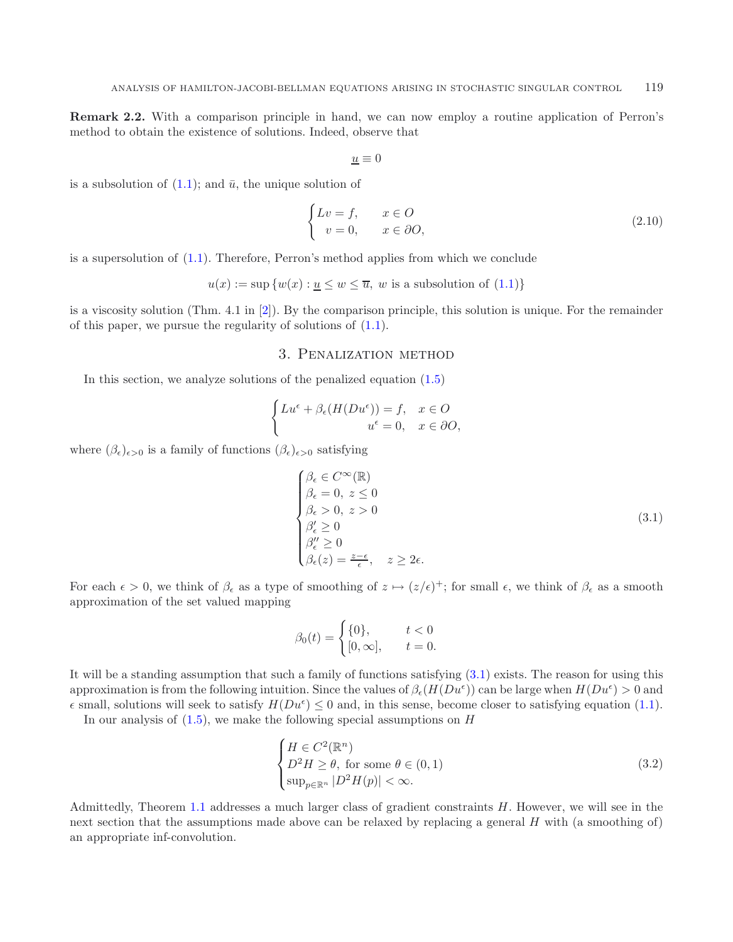<span id="page-7-4"></span>**Remark 2.2.** With a comparison principle in hand, we can now employ a routine application of Perron's method to obtain the existence of solutions. Indeed, observe that

<span id="page-7-3"></span>
$$
\underline{u}\equiv 0
$$

is a subsolution of  $(1.1)$ ; and  $\bar{u}$ , the unique solution of

$$
\begin{cases}\nLv = f, & x \in O \\
v = 0, & x \in \partial O,\n\end{cases}
$$
\n(2.10)

is a supersolution of [\(1.1\)](#page-0-0). Therefore, Perron's method applies from which we conclude

$$
u(x) := \sup \{w(x) : \underline{u} \leq w \leq \overline{u}, w \text{ is a subsolution of } (1.1)\}\
$$

<span id="page-7-0"></span>is a viscosity solution (Thm. 4.1 in [\[2\]](#page-15-2)). By the comparison principle, this solution is unique. For the remainder of this paper, we pursue the regularity of solutions of [\(1.1\)](#page-0-0).

### 3. Penalization method

<span id="page-7-1"></span>In this section, we analyze solutions of the penalized equation [\(1.5\)](#page-1-4)

$$
\begin{cases} Lu^{\epsilon} + \beta_{\epsilon}(H(Du^{\epsilon})) = f, & x \in O \\ u^{\epsilon} = 0, & x \in \partial O, \end{cases}
$$

where  $(\beta_{\epsilon})_{\epsilon>0}$  is a family of functions  $(\beta_{\epsilon})_{\epsilon>0}$  satisfying

<span id="page-7-2"></span>
$$
\begin{cases}\n\beta_{\epsilon} \in C^{\infty}(\mathbb{R}) \\
\beta_{\epsilon} = 0, \ z \le 0 \\
\beta_{\epsilon} > 0, \ z > 0 \\
\beta'_{\epsilon} \ge 0 \\
\beta''_{\epsilon} \ge 0 \\
\beta_{\epsilon}(z) = \frac{z - \epsilon}{\epsilon}, \ z \ge 2\epsilon.\n\end{cases}
$$
\n(3.1)

For each  $\epsilon > 0$ , we think of  $\beta_{\epsilon}$  as a type of smoothing of  $z \mapsto (z/\epsilon)^{+}$ ; for small  $\epsilon$ , we think of  $\beta_{\epsilon}$  as a smooth approximation of the set valued mapping

$$
\beta_0(t) = \begin{cases} \{0\}, & t < 0 \\ [0, \infty], & t = 0. \end{cases}
$$

It will be a standing assumption that such a family of functions satisfying [\(3.1\)](#page-7-1) exists. The reason for using this approximation is from the following intuition. Since the values of  $\beta_{\epsilon}(H(Du^{\epsilon}))$  can be large when  $H(Du^{\epsilon}) > 0$  and  $\epsilon$  small, solutions will seek to satisfy  $H(Du^{\epsilon}) \leq 0$  and, in this sense, become closer to satisfying equation [\(1.1\)](#page-0-0).

In our analysis of  $(1.5)$ , we make the following special assumptions on H

$$
\begin{cases}\nH \in C^{2}(\mathbb{R}^{n}) \\
D^{2}H \geq \theta, \text{ for some } \theta \in (0,1) \\
\sup_{p \in \mathbb{R}^{n}} |D^{2}H(p)| < \infty.\n\end{cases}
$$
\n(3.2)

Admittedly, Theorem [1.1](#page-1-1) addresses a much larger class of gradient constraints  $H$ . However, we will see in the next section that the assumptions made above can be relaxed by replacing a general  $H$  with (a smoothing of) an appropriate inf-convolution.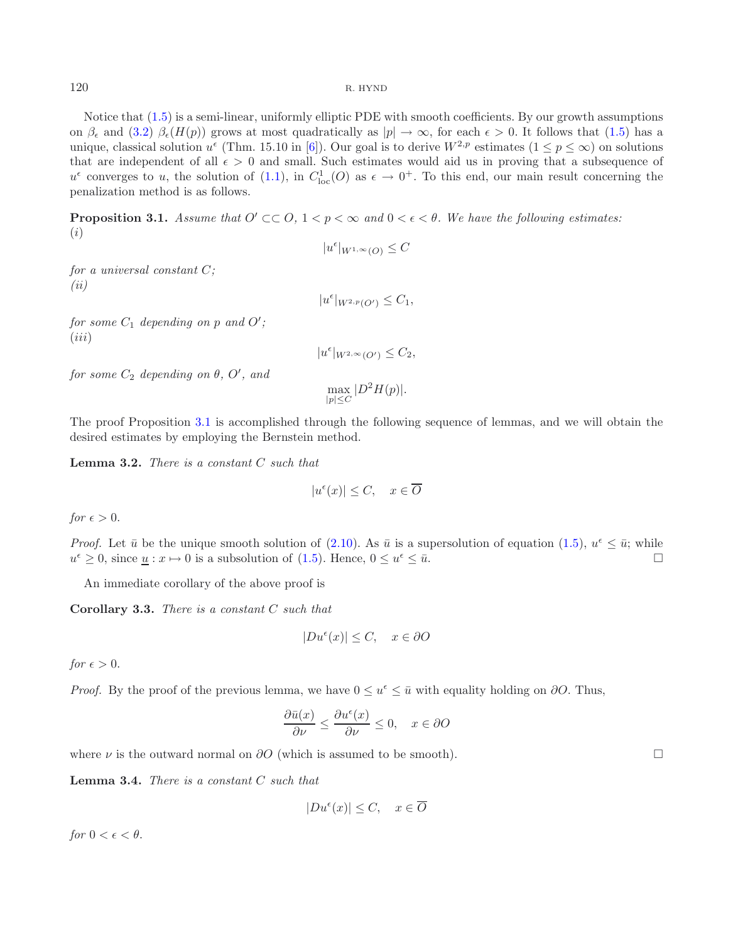Notice that [\(1.5\)](#page-1-4) is a semi-linear, uniformly elliptic PDE with smooth coefficients. By our growth assumptions on  $\beta_{\epsilon}$  and [\(3.2\)](#page-7-2)  $\beta_{\epsilon}(H(p))$  grows at most quadratically as  $|p| \to \infty$ , for each  $\epsilon > 0$ . It follows that [\(1.5\)](#page-1-4) has a unique, classical solution  $u^{\epsilon}$  (Thm. 15.10 in [\[6\]](#page-16-6)). Our goal is to derive  $W^{2,p}$  estimates  $(1 \leq p \leq \infty)$  on solutions that are independent of all  $\epsilon > 0$  and small. Such estimates would aid us in proving that a subsequence of  $u^{\epsilon}$  converges to u, the solution of [\(1.1\)](#page-0-0), in  $C_{loc}^{1}(O)$  as  $\epsilon \to 0^{+}$ . To this end, our main result concerning the penalization method is as follows.

<span id="page-8-0"></span>**Proposition 3.1.** *Assume that*  $O' \subset\subset O$ ,  $1 < p < \infty$  and  $0 < \epsilon < \theta$ . We have the following estimates: (i)

*for a universal constant* C*; (ii)*

 $|u^{\epsilon}|_{W^{2,p}(O')} \leq C_1,$ 

 $|u^{\epsilon}|_{W^{1,\infty}(O)} \leq C$ 

 $for some C_1$  depending on  $p$  and  $O'$ ;  $(iii)$ 

 $|u^{\epsilon}|_{W^{2,\infty}(O')} \leq C_2,$ 

 $for some C_2$  depending on  $\theta$ ,  $O'$ , and

$$
\max_{|p|\leq C}|D^2H(p)|.
$$

The proof Proposition [3.1](#page-8-0) is accomplished through the following sequence of lemmas, and we will obtain the desired estimates by employing the Bernstein method.

**Lemma 3.2.** *There is a constant* C *such that*

$$
|u^{\epsilon}(x)| \le C, \quad x \in \overline{O}
$$

*for*  $\epsilon > 0$ .

*Proof.* Let  $\bar{u}$  be the unique smooth solution of [\(2.10\)](#page-7-3). As  $\bar{u}$  is a supersolution of equation [\(1.5\)](#page-1-4),  $u^{\epsilon} \leq \bar{u}$ ; while  $u^{\epsilon} \geq 0$ , since  $\underline{u} : x \mapsto 0$  is a subsolution of [\(1.5\)](#page-1-4). Hence,  $0 \leq u^{\epsilon} \leq \overline{u}$ .

An immediate corollary of the above proof is

**Corollary 3.3.** *There is a constant* C *such that*

$$
|Du^{\epsilon}(x)| \le C, \quad x \in \partial O
$$

*for*  $\epsilon > 0$ .

*Proof.* By the proof of the previous lemma, we have  $0 \leq u^{\epsilon} \leq \bar{u}$  with equality holding on ∂O. Thus,

$$
\frac{\partial \bar{u}(x)}{\partial \nu} \le \frac{\partial u^{\epsilon}(x)}{\partial \nu} \le 0, \quad x \in \partial O
$$

where  $\nu$  is the outward normal on  $\partial O$  (which is assumed to be smooth).

<span id="page-8-1"></span>**Lemma 3.4.** *There is a constant* C *such that*

$$
|Du^{\epsilon}(x)| \le C, \quad x \in \overline{O}
$$

*for*  $0 < \epsilon < \theta$ .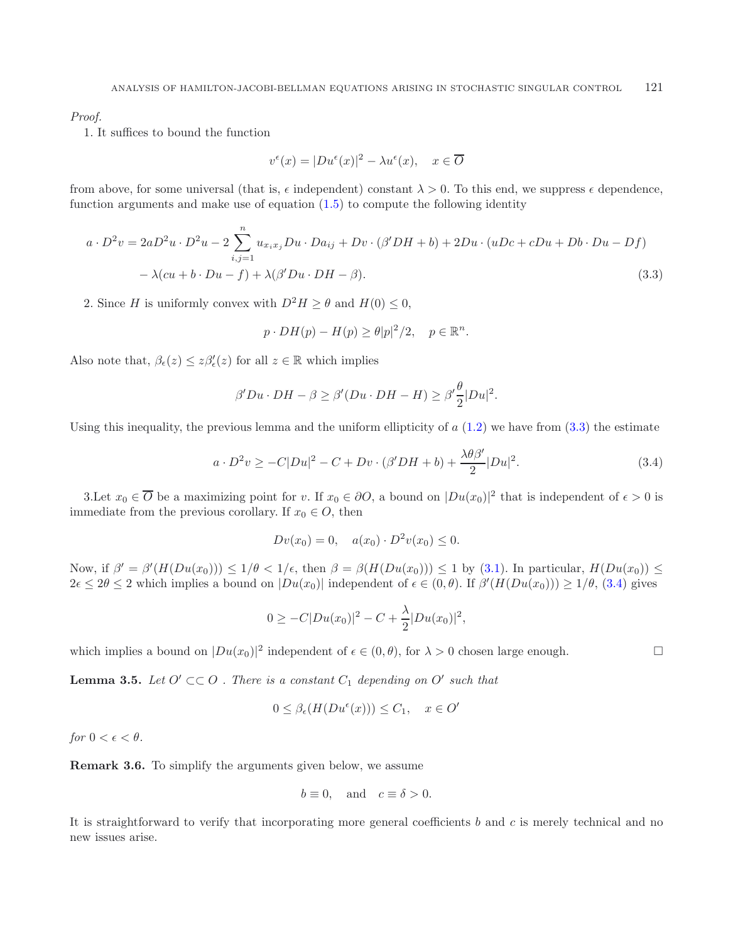*Proof.*

1. It suffices to bound the function

<span id="page-9-1"></span><span id="page-9-0"></span>
$$
v^{\epsilon}(x) = |Du^{\epsilon}(x)|^2 - \lambda u^{\epsilon}(x), \quad x \in \overline{O}
$$

from above, for some universal (that is,  $\epsilon$  independent) constant  $\lambda > 0$ . To this end, we suppress  $\epsilon$  dependence, function arguments and make use of equation  $(1.5)$  to compute the following identity

$$
a \cdot D^2 v = 2aD^2 u \cdot D^2 u - 2 \sum_{i,j=1}^n u_{x_ix_j} Du \cdot Da_{ij} + Dv \cdot (\beta' DH + b) + 2Du \cdot (uDc + cDu + Db \cdot Du - Df)
$$

$$
-\lambda (cu + b \cdot Du - f) + \lambda (\beta' Du \cdot DH - \beta). \tag{3.3}
$$

2. Since H is uniformly convex with  $D^2H \ge \theta$  and  $H(0) \le 0$ ,

$$
p \cdot DH(p) - H(p) \ge \theta |p|^2/2, \quad p \in \mathbb{R}^n.
$$

Also note that,  $\beta_{\epsilon}(z) \leq z\beta'_{\epsilon}(z)$  for all  $z \in \mathbb{R}$  which implies

$$
\beta' Du \cdot DH - \beta \ge \beta'(Du \cdot DH - H) \ge \beta' \frac{\theta}{2} |Du|^2.
$$

Using this inequality, the previous lemma and the uniform ellipticity of  $a(1.2)$  $a(1.2)$  we have from  $(3.3)$  the estimate

$$
a \cdot D^2 v \ge -C|Du|^2 - C + Dv \cdot (\beta' DH + b) + \frac{\lambda \theta \beta'}{2} |Du|^2. \tag{3.4}
$$

<span id="page-9-2"></span> $\Box$ 

3. Let  $x_0 \in \overline{O}$  be a maximizing point for v. If  $x_0 \in \partial O$ , a bound on  $|Du(x_0)|^2$  that is independent of  $\epsilon > 0$  is immediate from the previous corollary. If  $x_0 \in O$ , then

$$
Dv(x_0) = 0, \quad a(x_0) \cdot D^2v(x_0) \le 0.
$$

Now, if  $\beta' = \beta'(H(Du(x_0))) \leq 1/\theta < 1/\epsilon$ , then  $\beta = \beta(H(Du(x_0))) \leq 1$  by [\(3.1\)](#page-7-1). In particular,  $H(Du(x_0)) \leq$  $2\epsilon \leq 2\theta \leq 2$  which implies a bound on  $|Du(x_0)|$  independent of  $\epsilon \in (0,\theta)$ . If  $\beta'(H(Du(x_0))) \geq 1/\theta$ , [\(3.4\)](#page-9-1) gives

$$
0 \geq -C|Du(x_0)|^2 - C + \frac{\lambda}{2}|Du(x_0)|^2,
$$

which implies a bound on  $|Du(x_0)|^2$  independent of  $\epsilon \in (0, \theta)$ , for  $\lambda > 0$  chosen large enough.

<span id="page-9-3"></span>**Lemma 3.5.** *Let*  $O' \subset\subset O$  *. There is a constant*  $C_1$  *depending on*  $O'$  *such that* 

$$
0 \leq \beta_{\epsilon}(H(Du^{\epsilon}(x))) \leq C_1, \quad x \in O'
$$

*for*  $0 < \epsilon < \theta$ *.* 

**Remark 3.6.** To simplify the arguments given below, we assume

$$
b \equiv 0, \quad \text{and} \quad c \equiv \delta > 0.
$$

It is straightforward to verify that incorporating more general coefficients b and c is merely technical and no new issues arise.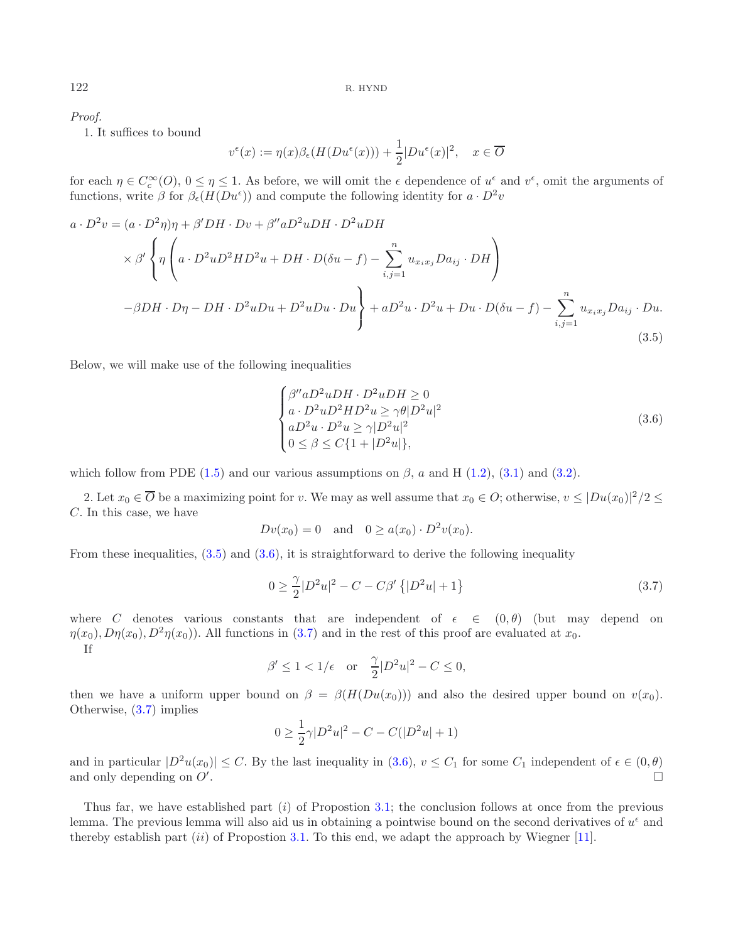*Proof.*

1. It suffices to bound

<span id="page-10-0"></span>
$$
v^{\epsilon}(x) := \eta(x)\beta_{\epsilon}(H(Du^{\epsilon}(x))) + \frac{1}{2}|Du^{\epsilon}(x)|^{2}, \quad x \in \overline{O}
$$

for each  $\eta \in C_c^{\infty}(O)$ ,  $0 \leq \eta \leq 1$ . As before, we will omit the  $\epsilon$  dependence of  $u^{\epsilon}$  and  $v^{\epsilon}$ , omit the arguments of functions, write  $\beta$  for  $\beta_{\epsilon}(H(Du^{\epsilon}))$  and compute the following identity for  $a \cdot D^2v$ 

$$
a \cdot D^2 v = (a \cdot D^2 \eta)\eta + \beta' DH \cdot Dv + \beta'' a D^2 uDH \cdot D^2 uDH
$$
  
\n
$$
\times \beta' \left\{ \eta \left( a \cdot D^2 u D^2 HD^2 u + DH \cdot D(\delta u - f) - \sum_{i,j=1}^n u_{x_i x_j} Da_{ij} \cdot DH \right) \right\}
$$
  
\n
$$
-\beta DH \cdot D\eta - DH \cdot D^2 u Du + D^2 u Du \cdot Du \right\} + a D^2 u \cdot D^2 u + Du \cdot D(\delta u - f) - \sum_{i,j=1}^n u_{x_i x_j} Da_{ij} \cdot Du.
$$
  
\n(3.5)

Below, we will make use of the following inequalities

<span id="page-10-1"></span>
$$
\begin{cases}\n\beta'' a D^2 u D H \cdot D^2 u D H \ge 0 \\
a \cdot D^2 u D^2 H D^2 u \ge \gamma \theta |D^2 u|^2 \\
a D^2 u \cdot D^2 u \ge \gamma |D^2 u|^2 \\
0 \le \beta \le C \{1 + |D^2 u|\},\n\end{cases}
$$
\n(3.6)

which follow from PDE [\(1.5\)](#page-1-4) and our various assumptions on  $\beta$ , a and H [\(1.2\)](#page-1-5), [\(3.1\)](#page-7-1) and [\(3.2\)](#page-7-2).

2. Let  $x_0 \in \overline{O}$  be a maximizing point for v. We may as well assume that  $x_0 \in O$ ; otherwise,  $v \leq |Du(x_0)|^2/2 \leq$ C. In this case, we have

$$
Dv(x_0) = 0
$$
 and  $0 \ge a(x_0) \cdot D^2v(x_0)$ .

From these inequalities,  $(3.5)$  and  $(3.6)$ , it is straightforward to derive the following inequality

$$
0 \ge \frac{\gamma}{2} |D^2 u|^2 - C - C\beta' \{ |D^2 u| + 1 \}
$$
\n(3.7)

where C denotes various constants that are independent of  $\epsilon \in (0, \theta)$  (but may depend on  $\eta(x_0), D\eta(x_0), D^2\eta(x_0)$ . All functions in [\(3.7\)](#page-10-1) and in the rest of this proof are evaluated at  $x_0$ . If

$$
\beta' \le 1 < 1/\epsilon \quad \text{or} \quad \frac{\gamma}{2} |D^2 u|^2 - C \le 0,
$$

then we have a uniform upper bound on  $\beta = \beta(H(Du(x_0)))$  and also the desired upper bound on  $v(x_0)$ . Otherwise, [\(3.7\)](#page-10-1) implies

$$
0 \ge \frac{1}{2}\gamma |D^2u|^2 - C - C(|D^2u| + 1)
$$

and in particular  $|D^2u(x_0)| \leq C$ . By the last inequality in  $(3.6), v \leq C_1$  $(3.6), v \leq C_1$  for some  $C_1$  independent of  $\epsilon \in (0, \theta)$ and only depending on  $O'$ . . The contract of the contract of the contract of the contract of the contract of the contract of the contract of the contract of the contract of the contract of the contract of the contract of the contract of the contrac

Thus far, we have established part  $(i)$  of Propostion [3.1;](#page-8-0) the conclusion follows at once from the previous lemma. The previous lemma will also aid us in obtaining a pointwise bound on the second derivatives of  $u^{\epsilon}$  and thereby establish part  $(ii)$  of Propostion [3.1.](#page-8-0) To this end, we adapt the approach by Wiegner [\[11](#page-16-0)].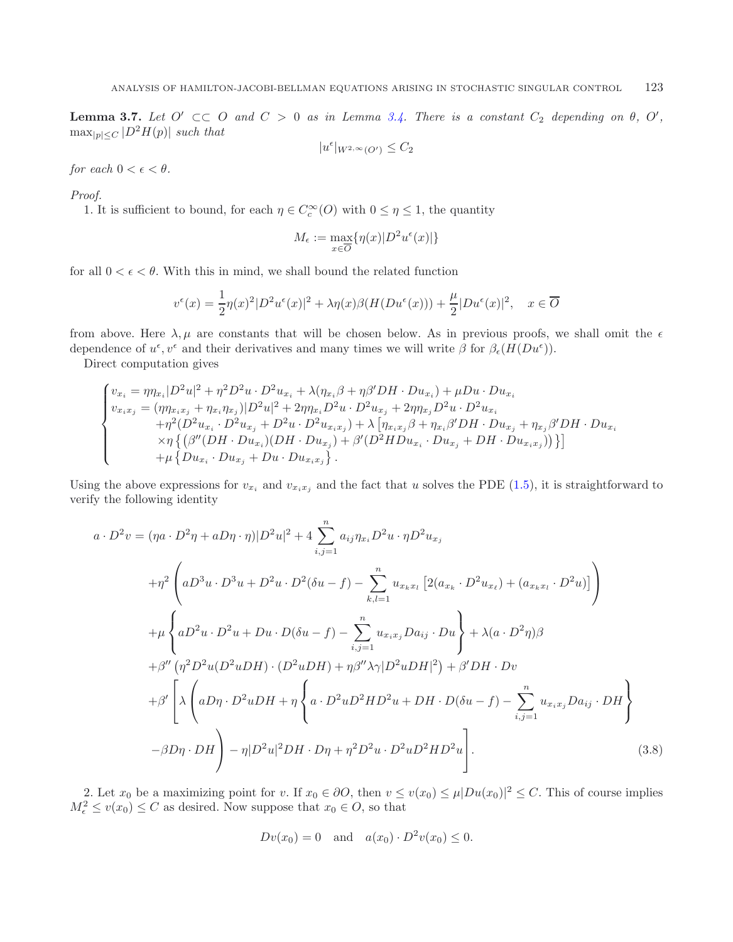**Lemma 3.7.** *Let*  $O' \subset\subset O$  *and*  $C > 0$  *as in Lemma [3.4.](#page-8-1) There is a constant*  $C_2$  *depending on*  $\theta$ *,*  $O'$ *,*  $\max_{|p|< C} |D^2H(p)|$  *such that* 

$$
|u^{\epsilon}|_{W^{2,\infty}(O')} \leq C_2
$$

*for each*  $0 < \epsilon < \theta$ *.* 

*Proof.*

1. It is sufficient to bound, for each  $\eta \in C_c^{\infty}(O)$  with  $0 \leq \eta \leq 1$ , the quantity

$$
M_{\epsilon} := \max_{x \in \overline{O}} \{ \eta(x) | D^2 u^{\epsilon}(x) | \}
$$

for all  $0 < \epsilon < \theta$ . With this in mind, we shall bound the related function

$$
v^{\epsilon}(x) = \frac{1}{2}\eta(x)^{2}|D^{2}u^{\epsilon}(x)|^{2} + \lambda\eta(x)\beta(H(Du^{\epsilon}(x))) + \frac{\mu}{2}|Du^{\epsilon}(x)|^{2}, \quad x \in \overline{O}
$$

from above. Here  $\lambda, \mu$  are constants that will be chosen below. As in previous proofs, we shall omit the  $\epsilon$ dependence of  $u^{\epsilon}, v^{\epsilon}$  and their derivatives and many times we will write  $\beta$  for  $\beta_{\epsilon}(H(Du^{\epsilon}))$ .

Direct computation gives

$$
\begin{cases} v_{x_i} = \eta \eta_{x_i} |D^2 u|^2 + \eta^2 D^2 u \cdot D^2 u_{x_i} + \lambda (\eta_{x_i} \beta + \eta \beta' DH \cdot Du_{x_i}) + \mu Du \cdot Du_{x_i} \\ v_{x_i x_j} = (\eta \eta_{x_i x_j} + \eta_{x_i} \eta_{x_j}) |D^2 u|^2 + 2 \eta \eta_{x_i} D^2 u \cdot D^2 u_{x_j} + 2 \eta \eta_{x_j} D^2 u \cdot D^2 u_{x_i} \\ \quad + \eta^2 (D^2 u_{x_i} \cdot D^2 u_{x_j} + D^2 u \cdot D^2 u_{x_i x_j}) + \lambda \left[ \eta_{x_i x_j} \beta + \eta_{x_i} \beta' DH \cdot Du_{x_j} + \eta_{x_j} \beta' DH \cdot Du_{x_i} \right. \\ \quad \left. \qquad \qquad \times \eta \left\{ \left( \beta'' (DH \cdot Du_{x_i}) (DH \cdot Du_{x_j}) + \beta' (D^2 HD u_{x_i} \cdot Du_{x_j} + DH \cdot Du_{x_i x_j}) \right) \right\} \right] \\ \quad + \mu \left\{ Du_{x_i} \cdot Du_{x_j} + Du \cdot Du_{x_i x_j} \right\} . \end{cases}
$$

<span id="page-11-0"></span>Using the above expressions for  $v_{x_i}$  and  $v_{x_ix_j}$  and the fact that u solves the PDE [\(1.5\)](#page-1-4), it is straightforward to verify the following identity

$$
a \cdot D^{2}v = (\eta a \cdot D^{2}\eta + aD\eta \cdot \eta)|D^{2}u|^{2} + 4 \sum_{i,j=1}^{n} a_{ij}\eta_{x_{i}}D^{2}u \cdot \eta D^{2}u_{x_{j}}
$$
  
+
$$
\eta^{2}\left(aD^{3}u \cdot D^{3}u + D^{2}u \cdot D^{2}(\delta u - f) - \sum_{k,l=1}^{n} u_{x_{k}x_{l}}\left[2(a_{x_{k}} \cdot D^{2}u_{x_{\ell}}) + (a_{x_{k}x_{l}} \cdot D^{2}u)\right]\right)
$$
  
+
$$
\mu\left\{aD^{2}u \cdot D^{2}u + Du \cdot D(\delta u - f) - \sum_{i,j=1}^{n} u_{x_{i}x_{j}}Da_{ij} \cdot Du\right\} + \lambda(a \cdot D^{2}\eta)\beta
$$
  
+
$$
\beta''\left(\eta^{2}D^{2}u(D^{2}uDH) \cdot (D^{2}uDH) + \eta\beta''\lambda\gamma|D^{2}uDH|^{2}\right) + \beta'DH \cdot Dv
$$
  
+
$$
\beta'\left[\lambda\left(aD\eta \cdot D^{2}uDH + \eta\left\{a \cdot D^{2}uD^{2}HD^{2}u + DH \cdot D(\delta u - f) - \sum_{i,j=1}^{n} u_{x_{i}x_{j}}Da_{ij} \cdot DH\right\}\right]
$$
  
-
$$
\beta D\eta \cdot DH\right) - \eta|D^{2}u|^{2}DH \cdot D\eta + \eta^{2}D^{2}u \cdot D^{2}uD^{2}HD^{2}u\right].
$$
 (3.8)

2. Let  $x_0$  be a maximizing point for v. If  $x_0 \in \partial O$ , then  $v \le v(x_0) \le \mu |Du(x_0)|^2 \le C$ . This of course implies  $M_{\epsilon}^2 \le v(x_0) \le C$  as desired. Now suppose that  $x_0 \in O$ , so that

$$
Dv(x_0) = 0
$$
 and  $a(x_0) \cdot D^2v(x_0) \le 0$ .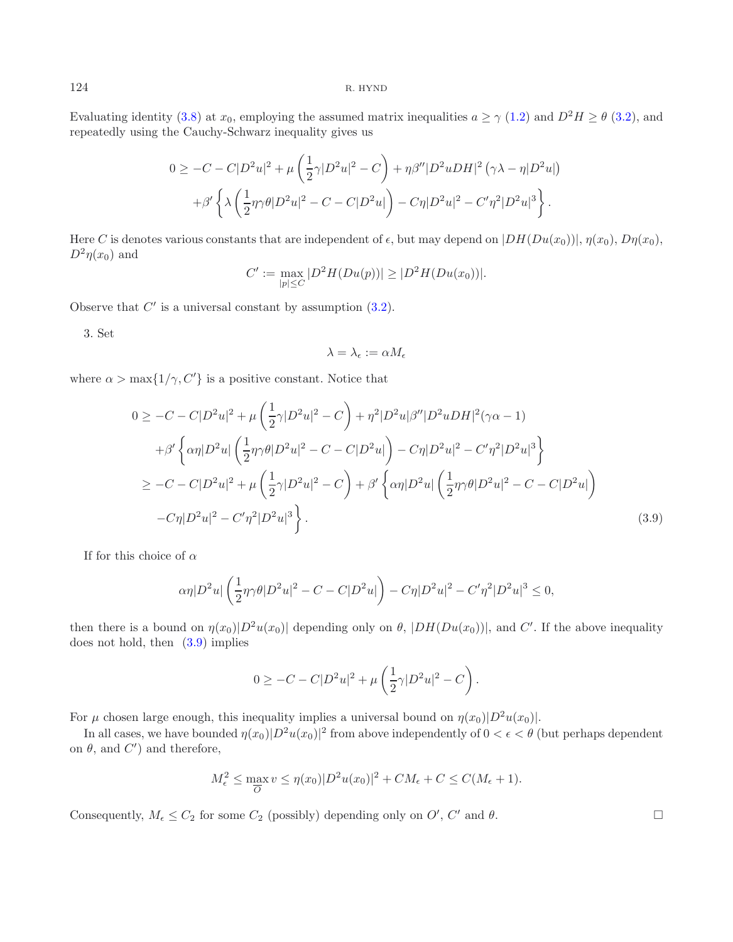<span id="page-12-0"></span>Evaluating identity [\(3.8\)](#page-11-0) at  $x_0$ , employing the assumed matrix inequalities  $a \ge \gamma$  [\(1.2\)](#page-1-5) and  $D^2H \ge \theta$  [\(3.2\)](#page-7-2), and repeatedly using the Cauchy-Schwarz inequality gives us

$$
0 \geq -C - C|D^2u|^2 + \mu\left(\frac{1}{2}\gamma|D^2u|^2 - C\right) + \eta\beta''|D^2uDH|^2(\gamma\lambda - \eta|D^2u|)
$$

$$
+ \beta'\left\{\lambda\left(\frac{1}{2}\eta\gamma\theta|D^2u|^2 - C - C|D^2u|\right) - C\eta|D^2u|^2 - C'\eta^2|D^2u|^3\right\}.
$$

Here C is denotes various constants that are independent of  $\epsilon$ , but may depend on  $|DH(Du(x_0))|, \eta(x_0), D\eta(x_0),$  $D^2\eta(x_0)$  and

$$
C' := \max_{|p| \le C} |D^2 H(Du(p))| \ge |D^2 H(Du(x_0))|.
$$

Observe that  $C'$  is a universal constant by assumption  $(3.2)$ .

3. Set

$$
\lambda=\lambda_\epsilon:=\alpha M_\epsilon
$$

where  $\alpha > \max\{1/\gamma, C'\}$  is a positive constant. Notice that

$$
0 \geq -C - C|D^2u|^2 + \mu\left(\frac{1}{2}\gamma|D^2u|^2 - C\right) + \eta^2|D^2u|\beta''|D^2uDH|^2(\gamma\alpha - 1) + \beta' \left\{\alpha\eta|D^2u|\left(\frac{1}{2}\eta\gamma\theta|D^2u|^2 - C - C|D^2u|\right) - C\eta|D^2u|^2 - C'\eta^2|D^2u|^3\right\} \geq -C - C|D^2u|^2 + \mu\left(\frac{1}{2}\gamma|D^2u|^2 - C\right) + \beta' \left\{\alpha\eta|D^2u|\left(\frac{1}{2}\eta\gamma\theta|D^2u|^2 - C - C|D^2u|\right) -C\eta|D^2u|^2 - C'\eta^2|D^2u|^3\right\}.
$$
\n(3.9)

If for this choice of  $\alpha$ 

$$
\alpha \eta |D^2 u| \left( \frac{1}{2} \eta \gamma \theta |D^2 u|^2 - C - C|D^2 u| \right) - C \eta |D^2 u|^2 - C' \eta^2 |D^2 u|^3 \le 0,
$$

then there is a bound on  $\eta(x_0)|D^2u(x_0)|$  depending only on  $\theta$ ,  $|DH(Du(x_0))|$ , and C'. If the above inequality does not hold, then [\(3.9\)](#page-12-0) implies

$$
0 \geq -C - C|D^2u|^2 + \mu\left(\frac{1}{2}\gamma|D^2u|^2 - C\right).
$$

For  $\mu$  chosen large enough, this inequality implies a universal bound on  $\eta(x_0)|D^2u(x_0)|$ .

In all cases, we have bounded  $\eta(x_0)|D^2u(x_0)|^2$  from above independently of  $0 < \epsilon < \theta$  (but perhaps dependent on  $\theta$ , and  $C'$  and therefore,

$$
M_{\epsilon}^{2} \le \max_{\overline{O}} v \le \eta(x_{0})|D^{2}u(x_{0})|^{2} + CM_{\epsilon} + C \le C(M_{\epsilon} + 1).
$$

Consequently,  $M_{\epsilon} \leq C_2$  for some  $C_2$  (possibly) depending only on  $O'$ ,  $C'$  and  $\theta$ .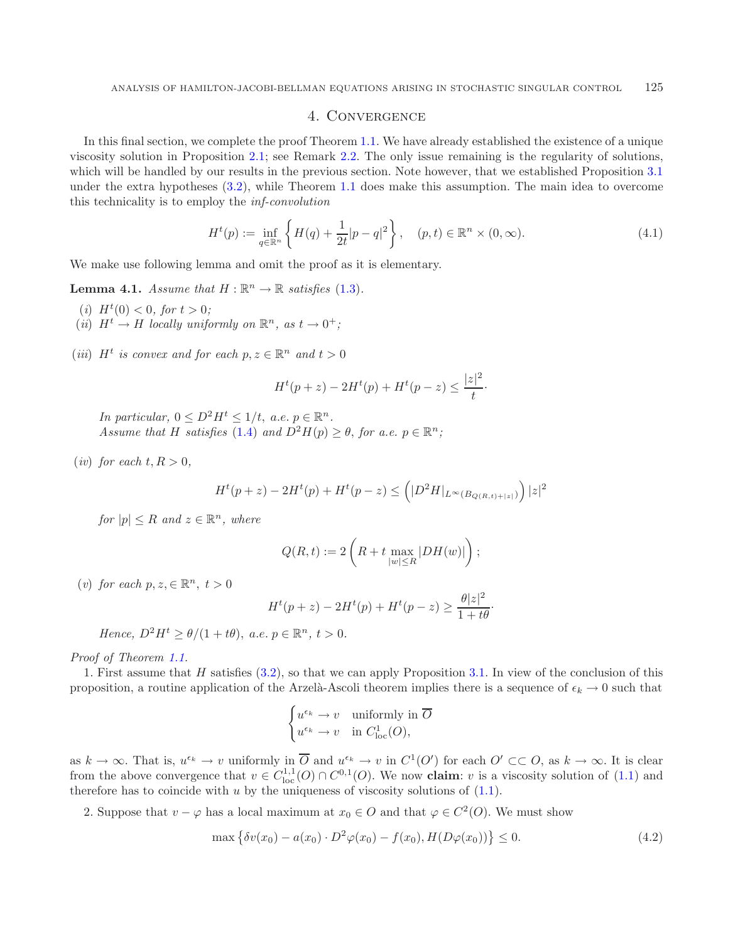### <span id="page-13-0"></span>4. Convergence

In this final section, we complete the proof Theorem [1.1.](#page-1-1) We have already established the existence of a unique viscosity solution in Proposition [2.1;](#page-4-2) see Remark [2.2.](#page-7-4) The only issue remaining is the regularity of solutions, which will be handled by our results in the previous section. Note however, that we established Proposition [3.1](#page-8-0) under the extra hypotheses [\(3.2\)](#page-7-2), while Theorem [1.1](#page-1-1) does make this assumption. The main idea to overcome this technicality is to employ the *inf-convolution*

$$
H^{t}(p) := \inf_{q \in \mathbb{R}^{n}} \left\{ H(q) + \frac{1}{2t} |p - q|^{2} \right\}, \quad (p, t) \in \mathbb{R}^{n} \times (0, \infty).
$$
 (4.1)

<span id="page-13-1"></span>We make use following lemma and omit the proof as it is elementary.

**Lemma 4.1.** *Assume that*  $H : \mathbb{R}^n \to \mathbb{R}$  *satisfies* [\(1.3\)](#page-1-0)*.* 

- (*i*)  $H^t(0) < 0$ , for  $t > 0$ ;
- (*ii*)  $H^t \to H$  *locally uniformly on*  $\mathbb{R}^n$ , as  $t \to 0^+$ ;
- (*iii*)  $H^t$  *is convex and for each*  $p, z \in \mathbb{R}^n$  *and*  $t > 0$

$$
H^{t}(p + z) - 2H^{t}(p) + H^{t}(p - z) \le \frac{|z|^2}{t}.
$$

*In particular,*  $0 \leq D^2 H^t \leq 1/t$ ,  $a.e. p \in \mathbb{R}^n$ . *Assume that* H *satisfies* [\(1.4\)](#page-1-2) *and*  $D^2H(p) > \theta$ , *for a.e.*  $p \in \mathbb{R}^n$ ;

(*iv*) *for each*  $t, R > 0$ ,

$$
H^{t}(p+z) - 2H^{t}(p) + H^{t}(p-z) \leq (|D^{2}H|_{L^{\infty}(B_{Q(R,t)+|z|})}) |z|^{2}
$$

*for*  $|p| \leq R$  *and*  $z \in \mathbb{R}^n$ *, where* 

$$
Q(R,t):=2\left(R+t\max_{|w|\leq R}|DH(w)|\right);
$$

(*v*) *for each*  $p, z \in \mathbb{R}^n$ ,  $t > 0$ 

$$
H^{t}(p + z) - 2H^{t}(p) + H^{t}(p - z) \ge \frac{\theta |z|^2}{1 + t\theta}.
$$

*Hence,*  $D^2H^t > \theta/(1 + t\theta)$ , *a.e.*  $p \in \mathbb{R}^n$ ,  $t > 0$ .

*Proof of Theorem [1.1.](#page-1-1)*

1. First assume that H satisfies [\(3.2\)](#page-7-2), so that we can apply Proposition [3.1.](#page-8-0) In view of the conclusion of this proposition, a routine application of the Arzelà-Ascoli theorem implies there is a sequence of  $\epsilon_k \to 0$  such that

$$
\begin{cases} u^{\epsilon_k} \to v & \text{uniformly in } \overline{O} \\ u^{\epsilon_k} \to v & \text{in } C^1_{\text{loc}}(O), \end{cases}
$$

as  $k \to \infty$ . That is,  $u^{\epsilon_k} \to v$  uniformly in  $\overline{O}$  and  $u^{\epsilon_k} \to v$  in  $C^1(O')$  for each  $O' \subset\subset O$ , as  $k \to \infty$ . It is clear from the above convergence that  $v \in C^{1,1}_{loc}(O) \cap C^{0,1}(O)$ . We now **claim**: v is a viscosity solution of [\(1.1\)](#page-0-0) and therefore has to coincide with  $u$  by the uniqueness of viscosity solutions of  $(1.1)$ .

2. Suppose that  $v - \varphi$  has a local maximum at  $x_0 \in O$  and that  $\varphi \in C^2(O)$ . We must show

$$
\max \left\{ \delta v(x_0) - a(x_0) \cdot D^2 \varphi(x_0) - f(x_0), H(D\varphi(x_0)) \right\} \le 0.
$$
\n(4.2)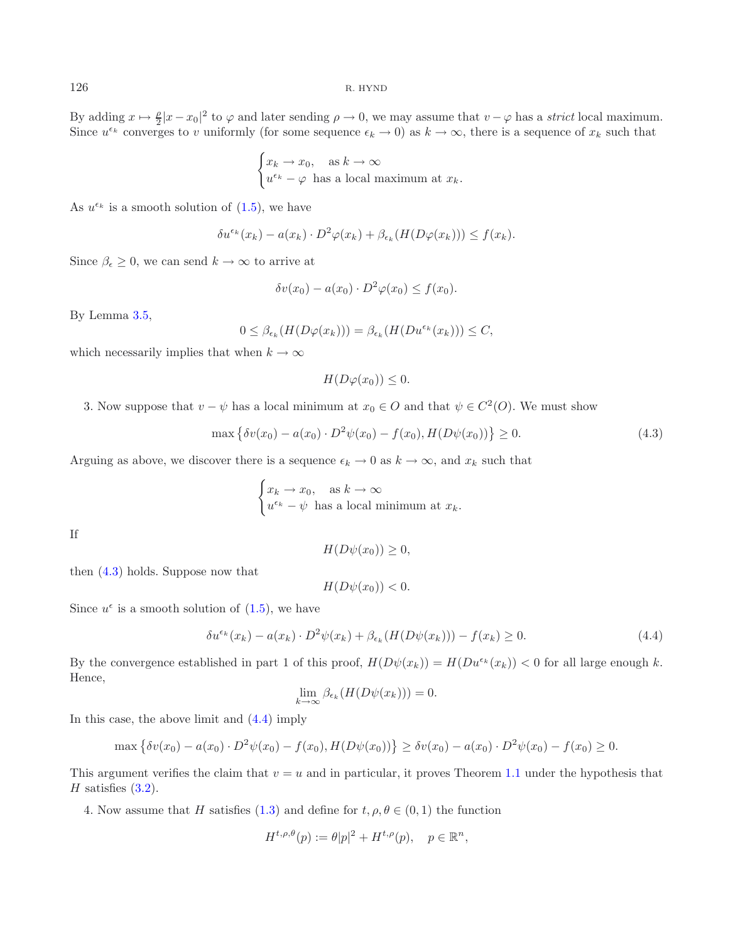By adding  $x \mapsto \frac{\rho}{2}|x-x_0|^2$  to  $\varphi$  and later sending  $\rho \to 0$ , we may assume that  $v - \varphi$  has a *strict* local maximum. Since  $u^{\epsilon_k}$  converges to v uniformly (for some sequence  $\epsilon_k \to 0$ ) as  $k \to \infty$ , there is a sequence of  $x_k$  such that

$$
\begin{cases} x_k \to x_0, & \text{as } k \to \infty \\ u^{\epsilon_k} - \varphi \text{ has a local maximum at } x_k. \end{cases}
$$

As  $u^{\epsilon_k}$  is a smooth solution of  $(1.5)$ , we have

$$
\delta u^{\epsilon_k}(x_k) - a(x_k) \cdot D^2 \varphi(x_k) + \beta_{\epsilon_k}(H(D\varphi(x_k))) \le f(x_k).
$$

Since  $\beta_{\epsilon} \geq 0$ , we can send  $k \to \infty$  to arrive at

$$
\delta v(x_0) - a(x_0) \cdot D^2 \varphi(x_0) \le f(x_0).
$$

By Lemma [3.5,](#page-9-3)

$$
0 \leq \beta_{\epsilon_k}(H(D\varphi(x_k))) = \beta_{\epsilon_k}(H(Du^{\epsilon_k}(x_k))) \leq C,
$$

which necessarily implies that when  $k \to \infty$ 

<span id="page-14-0"></span>
$$
H(D\varphi(x_0)) \leq 0.
$$

3. Now suppose that  $v - \psi$  has a local minimum at  $x_0 \in O$  and that  $\psi \in C^2(O)$ . We must show

<span id="page-14-1"></span>
$$
\max \left\{ \delta v(x_0) - a(x_0) \cdot D^2 \psi(x_0) - f(x_0), H(D\psi(x_0)) \right\} \ge 0.
$$
\n(4.3)

Arguing as above, we discover there is a sequence  $\epsilon_k \to 0$  as  $k \to \infty$ , and  $x_k$  such that

$$
\begin{cases} x_k \to x_0, & \text{as } k \to \infty \\ u^{\epsilon_k} - \psi \text{ has a local minimum at } x_k. \end{cases}
$$

If

$$
H(D\psi(x_0)) \ge 0,
$$

then [\(4.3\)](#page-14-0) holds. Suppose now that

$$
H(D\psi(x_0)) < 0.
$$

Since  $u^{\epsilon}$  is a smooth solution of  $(1.5)$ , we have

$$
\delta u^{\epsilon_k}(x_k) - a(x_k) \cdot D^2 \psi(x_k) + \beta_{\epsilon_k}(H(D\psi(x_k))) - f(x_k) \ge 0.
$$
\n(4.4)

By the convergence established in part 1 of this proof,  $H(D\psi(x_k)) = H(Du^{\epsilon_k}(x_k)) < 0$  for all large enough k. Hence,

$$
\lim_{k \to \infty} \beta_{\epsilon_k}(H(D\psi(x_k))) = 0.
$$

In this case, the above limit and [\(4.4\)](#page-14-1) imply

$$
\max \left\{ \delta v(x_0) - a(x_0) \cdot D^2 \psi(x_0) - f(x_0), H(D\psi(x_0)) \right\} \ge \delta v(x_0) - a(x_0) \cdot D^2 \psi(x_0) - f(x_0) \ge 0.
$$

This argument verifies the claim that  $v = u$  and in particular, it proves Theorem [1.1](#page-1-1) under the hypothesis that  $H$  satisfies  $(3.2)$ .

4. Now assume that H satisfies [\(1.3\)](#page-1-0) and define for  $t, \rho, \theta \in (0, 1)$  the function

$$
H^{t,\rho,\theta}(p) := \theta|p|^2 + H^{t,\rho}(p), \quad p \in \mathbb{R}^n,
$$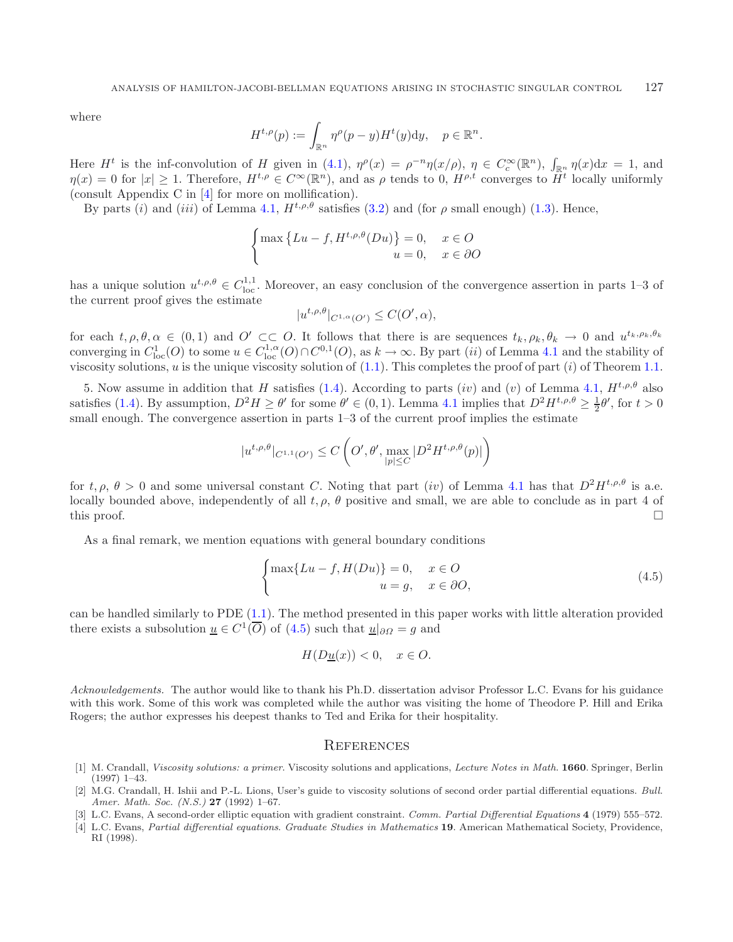where

$$
H^{t,\rho}(p) := \int_{\mathbb{R}^n} \eta^{\rho}(p-y) H^t(y) \mathrm{d}y, \quad p \in \mathbb{R}^n.
$$

Here  $H^t$  is the inf-convolution of H given in [\(4.1\)](#page-13-0),  $\eta^{\rho}(x) = \rho^{-n}\eta(x/\rho)$ ,  $\eta \in C_c^{\infty}(\mathbb{R}^n)$ ,  $\int_{\mathbb{R}^n} \eta(x) dx = 1$ , and  $\eta(x) = 0$  for  $|x| \ge 1$ . Therefore,  $H^{t,\rho} \in C^{\infty}(\mathbb{R}^n)$ , and as  $\rho$  tends to 0,  $H^{\rho,t}$  converges to  $H^t$  locally uniformly (consult Appendix C in [\[4\]](#page-15-3) for more on mollification).

By parts (i) and (iii) of Lemma [4.1,](#page-13-1)  $H^{t,\rho,\theta}$  satisfies [\(3.2\)](#page-7-2) and (for  $\rho$  small enough) [\(1.3\)](#page-1-0). Hence,

$$
\begin{cases} \max\left\{Lu - f, H^{t,\rho,\theta}(Du)\right\} = 0, & x \in O\\ u = 0, & x \in \partial O \end{cases}
$$

has a unique solution  $u^{t,\rho,\theta} \in C^{1,1}_{loc}$ . Moreover, an easy conclusion of the convergence assertion in parts 1–3 of the current proof gives the estimate

<span id="page-15-4"></span>
$$
|u^{t,\rho,\theta}|_{C^{1,\alpha}(O')} \leq C(O',\alpha),
$$

for each  $t, \rho, \theta, \alpha \in (0, 1)$  and  $O' \subset\subset O$ . It follows that there is are sequences  $t_k, \rho_k, \theta_k \to 0$  and  $u^{t_k, \rho_k, \theta_k}$ converging in  $C_{loc}^1(O)$  to some  $u \in C_{loc}^{1,\alpha}(O) \cap C^{0,1}(O)$ , as  $k \to \infty$ . By part *(ii)* of Lemma [4.1](#page-13-1) and the stability of viscosity solutions, u is the unique viscosity solution of  $(1.1)$ . This completes the proof of part  $(i)$  of Theorem [1.1.](#page-1-1)

5. Now assume in addition that H satisfies [\(1.4\)](#page-1-2). According to parts (iv) and (v) of Lemma [4.1,](#page-13-1)  $H^{t,\rho,\theta}$  also satisfies [\(1.4\)](#page-1-2). By assumption,  $D^2H \ge \theta'$  for some  $\theta' \in (0,1)$ . Lemma [4.1](#page-13-1) implies that  $D^2H^{t,\rho,\theta} \ge \frac{1}{2}\theta'$ , for  $t > 0$ small enough. The convergence assertion in parts  $1-3$  of the current proof implies the estimate

$$
|u^{t,\rho,\theta}|_{C^{1,1}(O')} \le C\left(O',\theta', \max_{|p| \le C} |D^2 H^{t,\rho,\theta}(p)|\right)
$$

for  $t, \rho, \theta > 0$  and some universal constant C. Noting that part (iv) of Lemma [4.1](#page-13-1) has that  $D^2H^{t,\rho,\theta}$  is a.e. locally bounded above, independently of all  $t, \rho, \theta$  positive and small, we are able to conclude as in part 4 of this proof.  $\Box$ 

As a final remark, we mention equations with general boundary conditions

$$
\begin{cases} \max\{Lu - f, H(Du)\} = 0, & x \in O \\ u = g, & x \in \partial O, \end{cases}
$$
\n(4.5)

can be handled similarly to PDE [\(1.1\)](#page-0-0). The method presented in this paper works with little alteration provided there exists a subsolution  $\underline{u} \in C^1(\overline{O})$  of  $(4.5)$  such that  $\underline{u}|_{\partial\Omega} = g$  and

$$
H(D\underline{u}(x)) < 0, \quad x \in O.
$$

*Acknowledgements.* The author would like to thank his Ph.D. dissertation advisor Professor L.C. Evans for his guidance with this work. Some of this work was completed while the author was visiting the home of Theodore P. Hill and Erika Rogers; the author expresses his deepest thanks to Ted and Erika for their hospitality.

#### **REFERENCES**

- <span id="page-15-1"></span>[1] M. Crandall, Viscosity solutions: a primer. Viscosity solutions and applications, Lecture Notes in Math. **1660**. Springer, Berlin (1997) 1–43.
- <span id="page-15-2"></span>[2] M.G. Crandall, H. Ishii and P.-L. Lions, User's guide to viscosity solutions of second order partial differential equations. Bull. Amer. Math. Soc. (N.S.) **27** (1992) 1–67.
- <span id="page-15-0"></span>[3] L.C. Evans, A second-order elliptic equation with gradient constraint. Comm. Partial Differential Equations **4** (1979) 555–572.
- <span id="page-15-3"></span>[4] L.C. Evans, Partial differential equations. Graduate Studies in Mathematics **19**. American Mathematical Society, Providence, RI (1998).